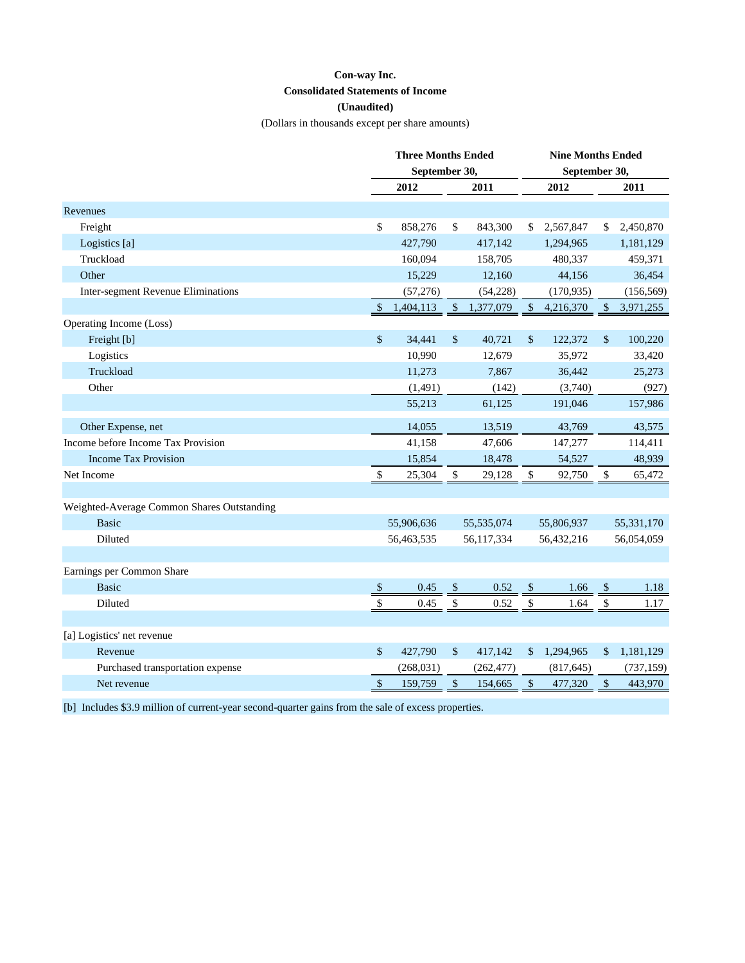## **Con-way Inc.**

## **Consolidated Statements of Income**

# **(Unaudited)**

(Dollars in thousands except per share amounts)

| September 30,<br>September 30,<br>2012<br>2011<br>2012<br>2011<br>Revenues<br>\$<br>858,276<br>\$<br>843,300<br>2,567,847<br>2,450,870<br>Freight<br>\$<br>\$<br>427,790<br>417,142<br>1,294,965<br>Logistics [a]<br>1,181,129<br>Truckload<br>160,094<br>158,705<br>480,337<br>459,371<br>Other<br>15,229<br>12,160<br>44,156<br>36,454<br>Inter-segment Revenue Eliminations<br>(57, 276)<br>(54, 228)<br>(170, 935)<br>(156, 569)<br>$\mathcal{S}$<br>3,971,255<br>\$<br>1,404,113<br><sup>\$</sup><br>1,377,079<br>4,216,370<br>\$.<br>Operating Income (Loss)<br>\$<br>\$<br>Freight [b]<br>34,441<br>40,721<br>\$<br>122,372<br>\$<br>100,220<br>Logistics<br>10,990<br>12,679<br>35,972<br>33,420<br>Truckload<br>11,273<br>7,867<br>36,442<br>25,273<br>Other<br>(1, 491)<br>(3,740)<br>(927)<br>(142)<br>55,213<br>61,125<br>191,046<br>157,986<br>Other Expense, net<br>14,055<br>13,519<br>43,769<br>43,575<br>Income before Income Tax Provision<br>41,158<br>47,606<br>147,277<br>114,411<br><b>Income Tax Provision</b><br>15,854<br>18,478<br>54,527<br>48,939<br>\$<br>\$<br>\$<br>\$<br>Net Income<br>25,304<br>29,128<br>92,750<br>65,472<br>Weighted-Average Common Shares Outstanding<br><b>Basic</b><br>55,906,636<br>55,535,074<br>55,806,937<br>55,331,170<br>Diluted<br>56,117,334<br>56,054,059<br>56,463,535<br>56,432,216<br>Earnings per Common Share<br><b>Basic</b><br>0.45<br>0.52<br>$\sqrt{\frac{1}{2}}$<br>$\sqrt{S}$<br>1.66<br>$\sqrt{2}$<br>1.18<br>$\frac{1}{2}$<br>$\sqrt{3}$<br>Diluted<br>0.45<br>$\frac{1}{2}$<br>\$<br>\$<br>0.52<br>1.64<br>1.17<br>[a] Logistics' net revenue |         | <b>Three Months Ended</b> |         |    |         | <b>Nine Months Ended</b> |           |              |           |
|----------------------------------------------------------------------------------------------------------------------------------------------------------------------------------------------------------------------------------------------------------------------------------------------------------------------------------------------------------------------------------------------------------------------------------------------------------------------------------------------------------------------------------------------------------------------------------------------------------------------------------------------------------------------------------------------------------------------------------------------------------------------------------------------------------------------------------------------------------------------------------------------------------------------------------------------------------------------------------------------------------------------------------------------------------------------------------------------------------------------------------------------------------------------------------------------------------------------------------------------------------------------------------------------------------------------------------------------------------------------------------------------------------------------------------------------------------------------------------------------------------------------------------------------------------------------------------------------------------------------------|---------|---------------------------|---------|----|---------|--------------------------|-----------|--------------|-----------|
|                                                                                                                                                                                                                                                                                                                                                                                                                                                                                                                                                                                                                                                                                                                                                                                                                                                                                                                                                                                                                                                                                                                                                                                                                                                                                                                                                                                                                                                                                                                                                                                                                            |         |                           |         |    |         |                          |           |              |           |
|                                                                                                                                                                                                                                                                                                                                                                                                                                                                                                                                                                                                                                                                                                                                                                                                                                                                                                                                                                                                                                                                                                                                                                                                                                                                                                                                                                                                                                                                                                                                                                                                                            |         |                           |         |    |         |                          |           |              |           |
|                                                                                                                                                                                                                                                                                                                                                                                                                                                                                                                                                                                                                                                                                                                                                                                                                                                                                                                                                                                                                                                                                                                                                                                                                                                                                                                                                                                                                                                                                                                                                                                                                            |         |                           |         |    |         |                          |           |              |           |
|                                                                                                                                                                                                                                                                                                                                                                                                                                                                                                                                                                                                                                                                                                                                                                                                                                                                                                                                                                                                                                                                                                                                                                                                                                                                                                                                                                                                                                                                                                                                                                                                                            |         |                           |         |    |         |                          |           |              |           |
|                                                                                                                                                                                                                                                                                                                                                                                                                                                                                                                                                                                                                                                                                                                                                                                                                                                                                                                                                                                                                                                                                                                                                                                                                                                                                                                                                                                                                                                                                                                                                                                                                            |         |                           |         |    |         |                          |           |              |           |
|                                                                                                                                                                                                                                                                                                                                                                                                                                                                                                                                                                                                                                                                                                                                                                                                                                                                                                                                                                                                                                                                                                                                                                                                                                                                                                                                                                                                                                                                                                                                                                                                                            |         |                           |         |    |         |                          |           |              |           |
|                                                                                                                                                                                                                                                                                                                                                                                                                                                                                                                                                                                                                                                                                                                                                                                                                                                                                                                                                                                                                                                                                                                                                                                                                                                                                                                                                                                                                                                                                                                                                                                                                            |         |                           |         |    |         |                          |           |              |           |
|                                                                                                                                                                                                                                                                                                                                                                                                                                                                                                                                                                                                                                                                                                                                                                                                                                                                                                                                                                                                                                                                                                                                                                                                                                                                                                                                                                                                                                                                                                                                                                                                                            |         |                           |         |    |         |                          |           |              |           |
|                                                                                                                                                                                                                                                                                                                                                                                                                                                                                                                                                                                                                                                                                                                                                                                                                                                                                                                                                                                                                                                                                                                                                                                                                                                                                                                                                                                                                                                                                                                                                                                                                            |         |                           |         |    |         |                          |           |              |           |
|                                                                                                                                                                                                                                                                                                                                                                                                                                                                                                                                                                                                                                                                                                                                                                                                                                                                                                                                                                                                                                                                                                                                                                                                                                                                                                                                                                                                                                                                                                                                                                                                                            |         |                           |         |    |         |                          |           |              |           |
|                                                                                                                                                                                                                                                                                                                                                                                                                                                                                                                                                                                                                                                                                                                                                                                                                                                                                                                                                                                                                                                                                                                                                                                                                                                                                                                                                                                                                                                                                                                                                                                                                            |         |                           |         |    |         |                          |           |              |           |
|                                                                                                                                                                                                                                                                                                                                                                                                                                                                                                                                                                                                                                                                                                                                                                                                                                                                                                                                                                                                                                                                                                                                                                                                                                                                                                                                                                                                                                                                                                                                                                                                                            |         |                           |         |    |         |                          |           |              |           |
|                                                                                                                                                                                                                                                                                                                                                                                                                                                                                                                                                                                                                                                                                                                                                                                                                                                                                                                                                                                                                                                                                                                                                                                                                                                                                                                                                                                                                                                                                                                                                                                                                            |         |                           |         |    |         |                          |           |              |           |
|                                                                                                                                                                                                                                                                                                                                                                                                                                                                                                                                                                                                                                                                                                                                                                                                                                                                                                                                                                                                                                                                                                                                                                                                                                                                                                                                                                                                                                                                                                                                                                                                                            |         |                           |         |    |         |                          |           |              |           |
|                                                                                                                                                                                                                                                                                                                                                                                                                                                                                                                                                                                                                                                                                                                                                                                                                                                                                                                                                                                                                                                                                                                                                                                                                                                                                                                                                                                                                                                                                                                                                                                                                            |         |                           |         |    |         |                          |           |              |           |
|                                                                                                                                                                                                                                                                                                                                                                                                                                                                                                                                                                                                                                                                                                                                                                                                                                                                                                                                                                                                                                                                                                                                                                                                                                                                                                                                                                                                                                                                                                                                                                                                                            |         |                           |         |    |         |                          |           |              |           |
|                                                                                                                                                                                                                                                                                                                                                                                                                                                                                                                                                                                                                                                                                                                                                                                                                                                                                                                                                                                                                                                                                                                                                                                                                                                                                                                                                                                                                                                                                                                                                                                                                            |         |                           |         |    |         |                          |           |              |           |
|                                                                                                                                                                                                                                                                                                                                                                                                                                                                                                                                                                                                                                                                                                                                                                                                                                                                                                                                                                                                                                                                                                                                                                                                                                                                                                                                                                                                                                                                                                                                                                                                                            |         |                           |         |    |         |                          |           |              |           |
|                                                                                                                                                                                                                                                                                                                                                                                                                                                                                                                                                                                                                                                                                                                                                                                                                                                                                                                                                                                                                                                                                                                                                                                                                                                                                                                                                                                                                                                                                                                                                                                                                            |         |                           |         |    |         |                          |           |              |           |
|                                                                                                                                                                                                                                                                                                                                                                                                                                                                                                                                                                                                                                                                                                                                                                                                                                                                                                                                                                                                                                                                                                                                                                                                                                                                                                                                                                                                                                                                                                                                                                                                                            |         |                           |         |    |         |                          |           |              |           |
|                                                                                                                                                                                                                                                                                                                                                                                                                                                                                                                                                                                                                                                                                                                                                                                                                                                                                                                                                                                                                                                                                                                                                                                                                                                                                                                                                                                                                                                                                                                                                                                                                            |         |                           |         |    |         |                          |           |              |           |
|                                                                                                                                                                                                                                                                                                                                                                                                                                                                                                                                                                                                                                                                                                                                                                                                                                                                                                                                                                                                                                                                                                                                                                                                                                                                                                                                                                                                                                                                                                                                                                                                                            |         |                           |         |    |         |                          |           |              |           |
|                                                                                                                                                                                                                                                                                                                                                                                                                                                                                                                                                                                                                                                                                                                                                                                                                                                                                                                                                                                                                                                                                                                                                                                                                                                                                                                                                                                                                                                                                                                                                                                                                            |         |                           |         |    |         |                          |           |              |           |
|                                                                                                                                                                                                                                                                                                                                                                                                                                                                                                                                                                                                                                                                                                                                                                                                                                                                                                                                                                                                                                                                                                                                                                                                                                                                                                                                                                                                                                                                                                                                                                                                                            |         |                           |         |    |         |                          |           |              |           |
|                                                                                                                                                                                                                                                                                                                                                                                                                                                                                                                                                                                                                                                                                                                                                                                                                                                                                                                                                                                                                                                                                                                                                                                                                                                                                                                                                                                                                                                                                                                                                                                                                            |         |                           |         |    |         |                          |           |              |           |
|                                                                                                                                                                                                                                                                                                                                                                                                                                                                                                                                                                                                                                                                                                                                                                                                                                                                                                                                                                                                                                                                                                                                                                                                                                                                                                                                                                                                                                                                                                                                                                                                                            |         |                           |         |    |         |                          |           |              |           |
|                                                                                                                                                                                                                                                                                                                                                                                                                                                                                                                                                                                                                                                                                                                                                                                                                                                                                                                                                                                                                                                                                                                                                                                                                                                                                                                                                                                                                                                                                                                                                                                                                            |         |                           |         |    |         |                          |           |              |           |
|                                                                                                                                                                                                                                                                                                                                                                                                                                                                                                                                                                                                                                                                                                                                                                                                                                                                                                                                                                                                                                                                                                                                                                                                                                                                                                                                                                                                                                                                                                                                                                                                                            |         |                           |         |    |         |                          |           |              |           |
|                                                                                                                                                                                                                                                                                                                                                                                                                                                                                                                                                                                                                                                                                                                                                                                                                                                                                                                                                                                                                                                                                                                                                                                                                                                                                                                                                                                                                                                                                                                                                                                                                            | Revenue | $\mathbb{S}$              | 427,790 | \$ | 417,142 | \$                       | 1,294,965 | $\mathbb{S}$ | 1,181,129 |
| Purchased transportation expense<br>(268, 031)<br>(262, 477)<br>(817, 645)<br>(737, 159)                                                                                                                                                                                                                                                                                                                                                                                                                                                                                                                                                                                                                                                                                                                                                                                                                                                                                                                                                                                                                                                                                                                                                                                                                                                                                                                                                                                                                                                                                                                                   |         |                           |         |    |         |                          |           |              |           |
| \$<br>Net revenue<br>159,759<br>\$<br>154,665<br>$\frac{1}{2}$<br>477,320<br>\$<br>443,970                                                                                                                                                                                                                                                                                                                                                                                                                                                                                                                                                                                                                                                                                                                                                                                                                                                                                                                                                                                                                                                                                                                                                                                                                                                                                                                                                                                                                                                                                                                                 |         |                           |         |    |         |                          |           |              |           |

[b] Includes \$3.9 million of current-year second-quarter gains from the sale of excess properties.